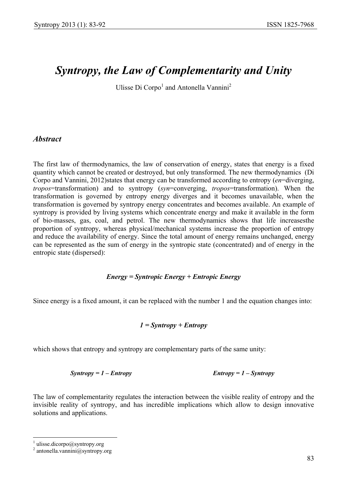# *Syntropy, the Law of Complementarity and Unity*

Ulisse Di Corpo<sup>1</sup> and Antonella Vannini<sup>2</sup>

# *Abstract*

The first law of thermodynamics, the law of conservation of energy, states that energy is a fixed quantity which cannot be created or destroyed, but only transformed. The new thermodynamics (Di Corpo and Vannini, 2012)states that energy can be transformed according to entropy (*en*=diverging, *tropos*=transformation) and to syntropy (*syn*=converging, *tropos*=transformation). When the transformation is governed by entropy energy diverges and it becomes unavailable, when the transformation is governed by syntropy energy concentrates and becomes available. An example of syntropy is provided by living systems which concentrate energy and make it available in the form of bio-masses, gas, coal, and petrol. The new thermodynamics shows that life increasesthe proportion of syntropy, whereas physical/mechanical systems increase the proportion of entropy and reduce the availability of energy. Since the total amount of energy remains unchanged, energy can be represented as the sum of energy in the syntropic state (concentrated) and of energy in the entropic state (dispersed):

#### *Energy = Syntropic Energy + Entropic Energy*

Since energy is a fixed amount, it can be replaced with the number 1 and the equation changes into:

#### *1 = Syntropy + Entropy*

which shows that entropy and syntropy are complementary parts of the same unity:

$$
Syntropy = 1 - Entropy
$$

 $Entropy = 1 - Syntax$ 

The law of complementarity regulates the interaction between the visible reality of entropy and the invisible reality of syntropy, and has incredible implications which allow to design innovative solutions and applications.

 $\overline{a}$ 

<sup>1</sup> ulisse.dicorpo@syntropy.org

<sup>2</sup> antonella.vannini@syntropy.org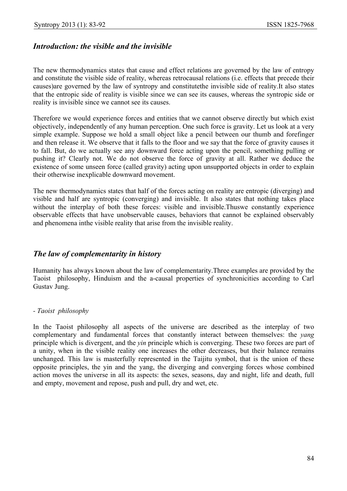# *Introduction: the visible and the invisible*

The new thermodynamics states that cause and effect relations are governed by the law of entropy and constitute the visible side of reality, whereas retrocausal relations (i.e. effects that precede their causes)are governed by the law of syntropy and constitutethe invisible side of reality.It also states that the entropic side of reality is visible since we can see its causes, whereas the syntropic side or reality is invisible since we cannot see its causes.

Therefore we would experience forces and entities that we cannot observe directly but which exist objectively, independently of any human perception. One such force is gravity. Let us look at a very simple example. Suppose we hold a small object like a pencil between our thumb and forefinger and then release it. We observe that it falls to the floor and we say that the force of gravity causes it to fall. But, do we actually see any downward force acting upon the pencil, something pulling or pushing it? Clearly not. We do not observe the force of gravity at all. Rather we deduce the existence of some unseen force (called gravity) acting upon unsupported objects in order to explain their otherwise inexplicable downward movement.

The new thermodynamics states that half of the forces acting on reality are entropic (diverging) and visible and half are syntropic (converging) and invisible. It also states that nothing takes place without the interplay of both these forces: visible and invisible.Thuswe constantly experience observable effects that have unobservable causes, behaviors that cannot be explained observably and phenomena inthe visible reality that arise from the invisible reality.

## *The law of complementarity in history*

Humanity has always known about the law of complementarity.Three examples are provided by the Taoist philosophy, Hinduism and the a-causal properties of synchronicities according to Carl Gustav Jung.

#### *- Taoist philosophy*

In the Taoist philosophy all aspects of the universe are described as the interplay of two complementary and fundamental forces that constantly interact between themselves: the *yang* principle which is divergent, and the *yin* principle which is converging. These two forces are part of a unity, when in the visible reality one increases the other decreases, but their balance remains unchanged. This law is masterfully represented in the Taijitu symbol, that is the union of these opposite principles, the yin and the yang, the diverging and converging forces whose combined action moves the universe in all its aspects: the sexes, seasons, day and night, life and death, full and empty, movement and repose, push and pull, dry and wet, etc.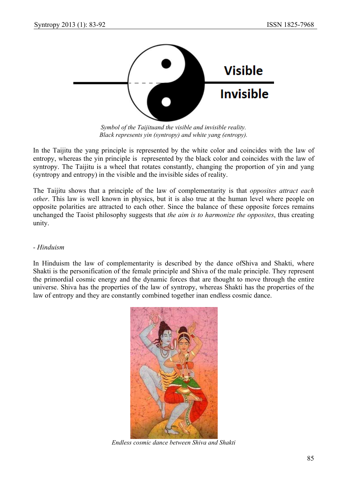

*Symbol of the Taijituand the visible and invisible reality. Black represents yin (syntropy) and white yang (entropy).* 

In the Taijitu the yang principle is represented by the white color and coincides with the law of entropy, whereas the yin principle is represented by the black color and coincides with the law of syntropy. The Taijitu is a wheel that rotates constantly, changing the proportion of yin and yang (syntropy and entropy) in the visible and the invisible sides of reality.

The Taijitu shows that a principle of the law of complementarity is that *opposites attract each other*. This law is well known in physics, but it is also true at the human level where people on opposite polarities are attracted to each other. Since the balance of these opposite forces remains unchanged the Taoist philosophy suggests that *the aim is to harmonize the opposites*, thus creating unity.

#### *- Hinduism*

In Hinduism the law of complementarity is described by the dance ofShiva and Shakti, where Shakti is the personification of the female principle and Shiva of the male principle. They represent the primordial cosmic energy and the dynamic forces that are thought to move through the entire universe. Shiva has the properties of the law of syntropy, whereas Shakti has the properties of the law of entropy and they are constantly combined together inan endless cosmic dance.



*Endless cosmic dance between Shiva and Shakti*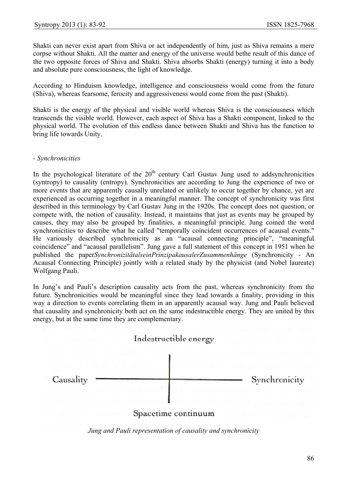Shakti can never exist apart from Shiva or act independently of him, just as Shiva remains a mere corpse without Shakti. All the matter and energy of the universe would bethe result of this dance of the two opposite forces of Shiva and Shakti. Shiva absorbs Shakti (energy) turning it into a body and absolute pure consciousness, the light of knowledge.

According to Hinduism knowledge, intelligence and consciousness would come from the future (Shiva), whereas fearsome, ferocity and aggressiveness would come from the past (Shakti).

Shakti is the energy of the physical and visible world whereas Shiva is the consciousness which transcends the visible world. However, each aspect of Shiva has a Shakti component, linked to the physical world. The evolution of this endless dance between Shakti and Shiva has the function to bring life towards Unity.

#### - Synchronicities

In the psychological literature of the  $20<sup>th</sup>$  century Carl Gustav Jung used to addsynchronicities (syntropy) to causality (entropy). Synchronicities are according to Jung the experience of two or more events that are apparently causally unrelated or unlikely to occur together by chance, yet are experienced as occurring together in a meaningful manner. The concept of synchronicity was first described in this terminology by Carl Gustav Jung in the 1920s. The concept does not question, or compete with, the notion of causality. Instead, it maintains that just as events may be grouped by causes, they may also be grouped by finalities, a meaningful principle. Jung coined the word synchronicities to describe what he called "temporally coincident occurrences of acausal events." He variously described synchronicity as an "acausal connecting principle", "meaningful coincidence" and "acausal parallelism". Jung gave a full statement of this concept in 1951 when he published the paperSynchronizitätalseinPrinzipakausalerZusammenhänge (Synchronicity - An Acausal Connecting Principle) jointly with a related study by the physicist (and Nobel laureate) Wolfgang Pauli. 8efyeheosretryd"len)esds<br>6efyeheosretryd"len)esds

In Jung's and Pauli's description causality acts from the past, whereas synchronicity from the future. Synchronicities would be meaningful since they lead towards a finality, providing in this way a direction to events correlating them in an apparently acausal way. Jung and Pauli believed that causality and synchronicity both act on the same indestructible energy. They are united by this energy, but at the same time they are complementary.



*Jung and Pauli representation of causality and synchronicity*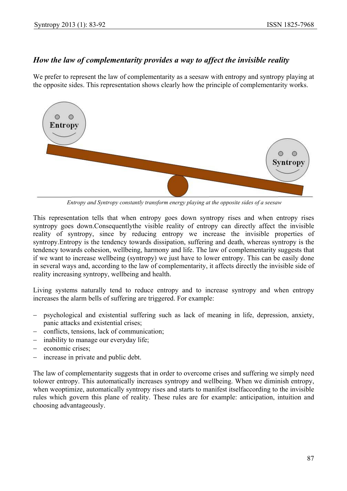### *How the law of complementarity provides a way to affect the invisible reality*

We prefer to represent the law of complementarity as a seesaw with entropy and syntropy playing at the opposite sides. This representation shows clearly how the principle of complementarity works.



 *Entropy and Syntropy constantly transform energy playing at the opposite sides of a seesaw* 

This representation tells that when entropy goes down syntropy rises and when entropy rises syntropy goes down.Consequentlythe visible reality of entropy can directly affect the invisible reality of syntropy, since by reducing entropy we increase the invisible properties of syntropy.Entropy is the tendency towards dissipation, suffering and death, whereas syntropy is the tendency towards cohesion, wellbeing, harmony and life. The law of complementarity suggests that if we want to increase wellbeing (syntropy) we just have to lower entropy. This can be easily done in several ways and, according to the law of complementarity, it affects directly the invisible side of reality increasing syntropy, wellbeing and health.

Living systems naturally tend to reduce entropy and to increase syntropy and when entropy increases the alarm bells of suffering are triggered. For example:

- − psychological and existential suffering such as lack of meaning in life, depression, anxiety, panic attacks and existential crises;
- − conflicts, tensions, lack of communication;
- − inability to manage our everyday life;
- economic crises;
- − increase in private and public debt.

The law of complementarity suggests that in order to overcome crises and suffering we simply need tolower entropy. This automatically increases syntropy and wellbeing. When we diminish entropy, when weoptimize, automatically syntropy rises and starts to manifest itselfaccording to the invisible rules which govern this plane of reality. These rules are for example: anticipation, intuition and choosing advantageously.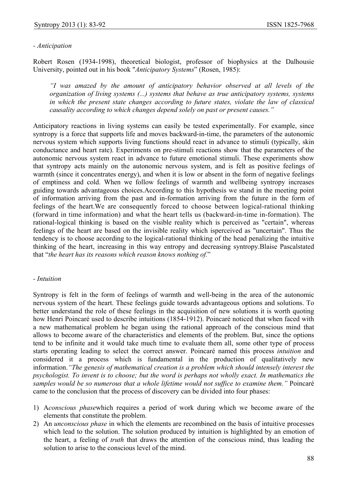#### *- Anticipation*

Robert Rosen (1934-1998), theoretical biologist, professor of biophysics at the Dalhousie University, pointed out in his book "*Anticipatory Systems*" (Rosen, 1985):

*"I was amazed by the amount of anticipatory behavior observed at all levels of the organization of living systems (...) systems that behave as true anticipatory systems, systems in which the present state changes according to future states, violate the law of classical causality according to which changes depend solely on past or present causes."* 

Anticipatory reactions in living systems can easily be tested experimentally. For example, since syntropy is a force that supports life and moves backward-in-time, the parameters of the autonomic nervous system which supports living functions should react in advance to stimuli (typically, skin conductance and heart rate). Experiments on pre-stimuli reactions show that the parameters of the autonomic nervous system react in advance to future emotional stimuli. These experiments show that syntropy acts mainly on the autonomic nervous system, and is felt as positive feelings of warmth (since it concentrates energy), and when it is low or absent in the form of negative feelings of emptiness and cold. When we follow feelings of warmth and wellbeing syntropy increases guiding towards advantageous choices.According to this hypothesis we stand in the meeting point of information arriving from the past and in-formation arriving from the future in the form of feelings of the heart.We are consequently forced to choose between logical-rational thinking (forward in time information) and what the heart tells us (backward-in-time in-formation). The rational-logical thinking is based on the visible reality which is perceived as "certain", whereas feelings of the heart are based on the invisible reality which isperceived as "uncertain". Thus the tendency is to choose according to the logical-rational thinking of the head penalizing the intuitive thinking of the heart, increasing in this way entropy and decreasing syntropy.Blaise Pascalstated that "*the heart has its reasons which reason knows nothing of.*"

#### *- Intuition*

Syntropy is felt in the form of feelings of warmth and well-being in the area of the autonomic nervous system of the heart. These feelings guide towards advantageous options and solutions. To better understand the role of these feelings in the acquisition of new solutions it is worth quoting how Henri Poincaré used to describe intuitions (1854-1912). Poincaré noticed that when faced with a new mathematical problem he began using the rational approach of the conscious mind that allows to become aware of the characteristics and elements of the problem. But, since the options tend to be infinite and it would take much time to evaluate them all, some other type of process starts operating leading to select the correct answer. Poincaré named this process *intuition* and considered it a process which is fundamental in the production of qualitatively new information.*"The genesis of mathematical creation is a problem which should intensely interest the psychologist. To invent is to choose; but the word is perhaps not wholly exact. In mathematics the samples would be so numerous that a whole lifetime would not suffice to examine them."* Poincaré came to the conclusion that the process of discovery can be divided into four phases:

- 1) A*conscious phase*which requires a period of work during which we become aware of the elements that constitute the problem.
- 2) An *unconscious phase* in which the elements are recombined on the basis of intuitive processes which lead to the solution. The solution produced by intuition is highlighted by an emotion of the heart, a feeling of *truth* that draws the attention of the conscious mind, thus leading the solution to arise to the conscious level of the mind.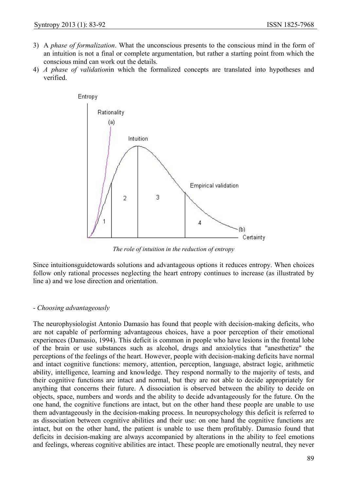- 3) A *phase of formalization*. What the unconscious presents to the conscious mind in the form of an intuition is not a final or complete argumentation, but rather a starting point from which the conscious mind can work out the details.
- 4) *A phase of validation*in which the formalized concepts are translated into hypotheses and verified.



*The role of intuition in the reduction of entropy* 

Since intuitionsguidetowards solutions and advantageous options it reduces entropy. When choices follow only rational processes neglecting the heart entropy continues to increase (as illustrated by line a) and we lose direction and orientation.

#### *- Choosing advantageously*

The neurophysiologist Antonio Damasio has found that people with decision-making deficits, who are not capable of performing advantageous choices, have a poor perception of their emotional experiences (Damasio, 1994). This deficit is common in people who have lesions in the frontal lobe of the brain or use substances such as alcohol, drugs and anxiolytics that "anesthetize" the perceptions of the feelings of the heart. However, people with decision-making deficits have normal and intact cognitive functions: memory, attention, perception, language, abstract logic, arithmetic ability, intelligence, learning and knowledge. They respond normally to the majority of tests, and their cognitive functions are intact and normal, but they are not able to decide appropriately for anything that concerns their future. A dissociation is observed between the ability to decide on objects, space, numbers and words and the ability to decide advantageously for the future. On the one hand, the cognitive functions are intact, but on the other hand these people are unable to use them advantageously in the decision-making process. In neuropsychology this deficit is referred to as dissociation between cognitive abilities and their use: on one hand the cognitive functions are intact, but on the other hand, the patient is unable to use them profitably. Damasio found that deficits in decision-making are always accompanied by alterations in the ability to feel emotions and feelings, whereas cognitive abilities are intact. These people are emotionally neutral, they never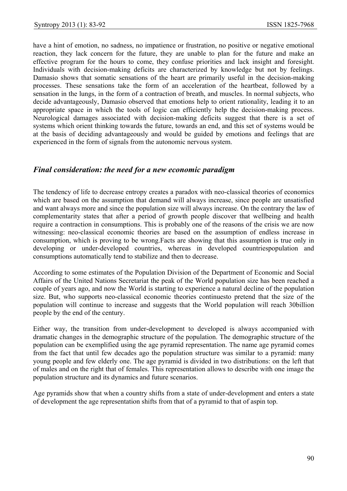have a hint of emotion, no sadness, no impatience or frustration, no positive or negative emotional reaction, they lack concern for the future, they are unable to plan for the future and make an effective program for the hours to come, they confuse priorities and lack insight and foresight. Individuals with decision-making deficits are characterized by knowledge but not by feelings. Damasio shows that somatic sensations of the heart are primarily useful in the decision-making processes. These sensations take the form of an acceleration of the heartbeat, followed by a sensation in the lungs, in the form of a contraction of breath, and muscles. In normal subjects, who decide advantageously, Damasio observed that emotions help to orient rationality, leading it to an appropriate space in which the tools of logic can efficiently help the decision-making process. Neurological damages associated with decision-making deficits suggest that there is a set of systems which orient thinking towards the future, towards an end, and this set of systems would be at the basis of deciding advantageously and would be guided by emotions and feelings that are experienced in the form of signals from the autonomic nervous system.

#### *Final consideration: the need for a new economic paradigm*

The tendency of life to decrease entropy creates a paradox with neo-classical theories of economics which are based on the assumption that demand will always increase, since people are unsatisfied and want always more and since the population size will always increase. On the contrary the law of complementarity states that after a period of growth people discover that wellbeing and health require a contraction in consumptions. This is probably one of the reasons of the crisis we are now witnessing: neo-classical economic theories are based on the assumption of endless increase in consumption, which is proving to be wrong.Facts are showing that this assumption is true only in developing or under-developed countries, whereas in developed countriespopulation and consumptions automatically tend to stabilize and then to decrease.

According to some estimates of the Population Division of the Department of Economic and Social Affairs of the United Nations Secretariat the peak of the World population size has been reached a couple of years ago, and now the World is starting to experience a natural decline of the population size. But, who supports neo-classical economic theories continuesto pretend that the size of the population will continue to increase and suggests that the World population will reach 30billion people by the end of the century.

Either way, the transition from under-development to developed is always accompanied with dramatic changes in the demographic structure of the population. The demographic structure of the population can be exemplified using the age pyramid representation. The name age pyramid comes from the fact that until few decades ago the population structure was similar to a pyramid: many young people and few elderly one. The age pyramid is divided in two distributions: on the left that of males and on the right that of females. This representation allows to describe with one image the population structure and its dynamics and future scenarios.

Age pyramids show that when a country shifts from a state of under-development and enters a state of development the age representation shifts from that of a pyramid to that of aspin top.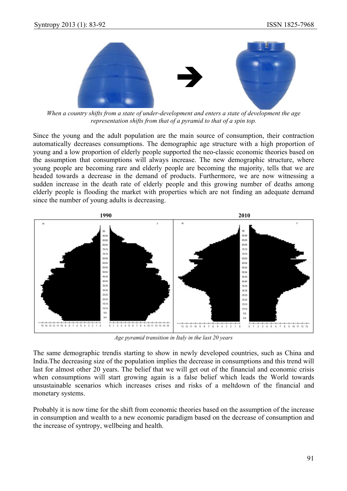

*When a country shifts from a state of under-development and enters a state of development the age representation shifts from that of a pyramid to that of a spin top.* 

Since the young and the adult population are the main source of consumption, their contraction automatically decreases consumptions. The demographic age structure with a high proportion of young and a low proportion of elderly people supported the neo-classic economic theories based on the assumption that consumptions will always increase. The new demographic structure, where young people are becoming rare and elderly people are becoming the majority, tells that we are headed towards a decrease in the demand of products. Furthermore, we are now witnessing a sudden increase in the death rate of elderly people and this growing number of deaths among elderly people is flooding the market with properties which are not finding an adequate demand since the number of young adults is decreasing.



*Age pyramid transition in Italy in the last 20 years* 

The same demographic trendis starting to show in newly developed countries, such as China and India.The decreasing size of the population implies the decrease in consumptions and this trend will last for almost other 20 years. The belief that we will get out of the financial and economic crisis when consumptions will start growing again is a false belief which leads the World towards unsustainable scenarios which increases crises and risks of a meltdown of the financial and monetary systems.

Probably it is now time for the shift from economic theories based on the assumption of the increase in consumption and wealth to a new economic paradigm based on the decrease of consumption and the increase of syntropy, wellbeing and health.